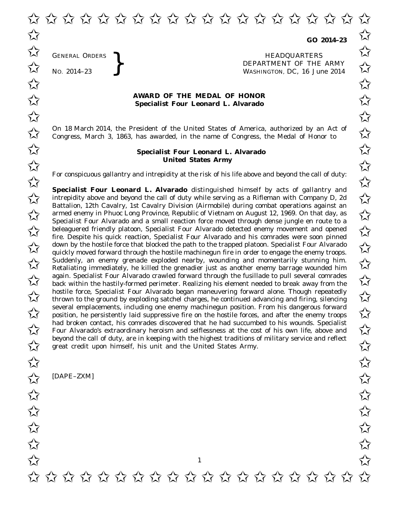**GO 2014–23**

GENERAL ORDERS **REAL ORDERS** HEADQUARTERS **HEADQUARTERS HEADQUARTERS DEPARTMENT** OF THE **WASHINGTON, DC,** 16 Jul No. 2014-23<br>No. 2014-23<br>No. 2014-23 WASHINGTON, DC, *16 June 2014*  $\overrightarrow{\mathcal{A}}$  GENERAL ORDERS  $\overrightarrow{\mathcal{A}}$ 

## **AWARD OF THE MEDAL OF HONOR**<br>
Specialist Four Leonard L. Alvarado **Specialist Four Leonard L. Alvarado**

On 18 March 2014, the President of the United States of America, authorized by an Act of  $\overline{\mathcal{M}}$  Congress. March 3, 1863, has awarded, in the name of Congress, the Medal of Honor to  $\overline{\mathcal{M}}$ Congress, March 3, 1863, has awarded, in the name of Congress, the Medal of Honor to

## **Specialist Four Leonard L. Alvarado** ✩ ✩ **United States Army** United States Army

For conspicuous gallantry and intrepidity at the risk of his life above and beyond the call of duty:<br>  $\overrightarrow{\lambda}$ 

**Specialist Four Leonard L. Alvarado** distinguished himself by acts of gallantry and **Specialist Four Leonard L. Alvarado** distinguished himself by acts of gallantry and<br>intrepidity above and beyond the call of duty while serving as a Rifleman with Company D, 2d Battalion, 12th Cavalry, 1st Cavalry Division (Airmobile) during combat operations against an Battalion, 12th Cavairy, 1st Cavairy Division (Airmobile) during compat operations against an<br>
armed enemy in Phuoc Long Province, Republic of Vietnam on August 12, 1969. On that day, as<br>
Specialist Fram Alexander and a sm Specialist Four Alvarado and a small reaction force moved through dense jungle en route to a beleaguered friendly platoon, Specialist Four Alvarado detected enemy movement and opened<br>
Second the Decrite bis quick reaction. Specialist Four Alvarado and bis compades were seen ninned fire. Despite his quick reaction, Specialist Four Alvarado and his comrades were soon pinned  $\overline{\mathcal{A}}$  down by the hostile force that blocked the path to the trapped platoon. Specialist Four Alvarado diversion prince down by the hostile force that blocked the path to the trapped platoon. Specialist Four Alvarad quickly moved forward through the hostile machinegun fire in order to engage the enemy troops.  $\begin{array}{c} \triangle \ \triangle \end{array}$  Suddenly, an enemy grenade exploded nearby, wounding and momentarily stunning him.<br>  $\begin{array}{c} \triangle \ \end{array}$  Retaliating immediately be killed the grenadier just as another enemy barrage wounded him Retaliating immediately, he killed the grenadier just as another enemy barrage wounded him again. Specialist Four Alvarado crawled forward through the fusillade to pull several comrades back within the hastily-formed perimeter. Realizing his element needed to break away from the back within the hastily-formed perimeter. Realizing his element needed to break away from the hostile force, Specialist Four Alvarado began maneuvering forward alone. Though repeatedly<br>
thrown to the ground by exploding satchel charges, he continued advancing and firing, silencing thrown to the ground by exploding satchel charges, he continued advancing and firing, silencing several emplacements, including one enemy machinegun position. From his dangerous forward several emplacements, including one enemy machinegun position. From his dangerous forward<br>position, he persistently laid suppressive fire on the hostile forces, and after the enemy troops had broken contact, his comrades discovered that he had succumbed to his wounds. Specialist<br>Four Alvarado's extraordinary heroism and selflessness at the cost of his own life, above and Four Alvarado's extraordinary heroism and selflessness at the cost of his own life, above and beyond the call of duty, are in keeping with the highest traditions of military service and reflect great credit upon himself, his unit and the United States Army. great credit upon himself, his unit and the United States Army.

[DAPE–ZXM]

GENERAL ORDERS

1